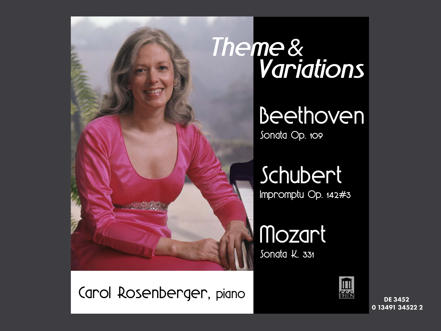

Carol Rosenberger, piano

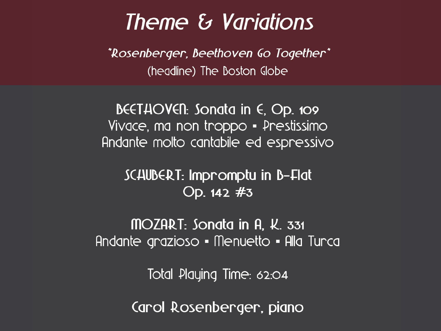# Theme & Variations

*"Rosenberger, Beethoven Go Together"* (headline) The Boston Globe

BEETHOVEN: Songta in  $\epsilon$ , Op. 109 Vivace, ma non troppo · Prestissimo Andante molto cantabile ed espressivo

SCAUBERT: Impromptu in B-Flat Op.  $142 \#3$ 

MOZART: Songta in A, K, 331 Andante grazioso • Menuetto • Alla Turca

Total Playing Time: 62:04

Carol Rosenberger, piano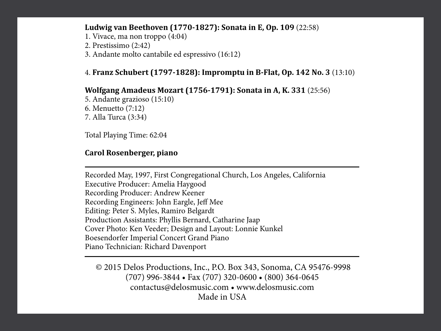#### **Ludwig van Beethoven (1770-1827): Sonata in E, Op. 109** (22:58)

- 1. Vivace, ma non troppo (4:04)
- 2. Prestissimo (2:42)
- 3. Andante molto cantabile ed espressivo (16:12)

#### 4. **Franz Schubert (1797-1828): Impromptu in B-Flat, Op. 142 No. 3** (13:10)

#### **Wolfgang Amadeus Mozart (1756-1791): Sonata in A, K. 331** (25:56)

5. Andante grazioso (15:10) 6. Menuetto (7:12) 7. Alla Turca (3:34)

Total Playing Time: 62:04

### **Carol Rosenberger, piano**

Recorded May, 1997, First Congregational Church, Los Angeles, California Executive Producer: Amelia Haygood Recording Producer: Andrew Keener Recording Engineers: John Eargle, Jeff Mee Editing: Peter S. Myles, Ramiro Belgardt Production Assistants: Phyllis Bernard, Catharine Jaap Cover Photo: Ken Veeder; Design and Layout: Lonnie Kunkel Boesendorfer Imperial Concert Grand Piano Piano Technician: Richard Davenport

 © 2015 Delos Productions, Inc., P.O. Box 343, Sonoma, CA 95476-9998 (707) 996-3844 • Fax (707) 320-0600 • (800) 364-0645 contactus@delosmusic.com • www.delosmusic.com Made in USA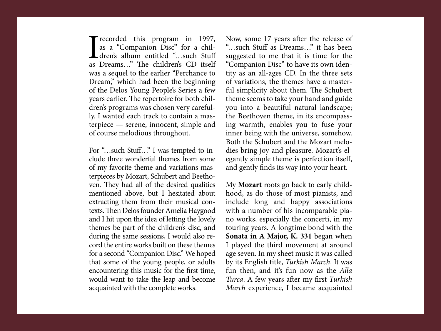Tecorded this program in 1997,<br>as a "Companion Disc" for a chil-<br>dren's album entitled "...such Stuff<br>as Dreams..." The children's CD itself as a "Companion Disc" for a children's album entitled "…such Stuff as Dreams..." The children's CD itself was a sequel to the earlier "Perchance to Dream," which had been the beginning of the Delos Young People's Series a few years earlier. The repertoire for both children's programs was chosen very carefully. I wanted each track to contain a masterpiece — serene, innocent, simple and of course melodious throughout.

For "…such Stuff…" I was tempted to include three wonderful themes from some of my favorite theme-and-variations masterpieces by Mozart, Schubert and Beethoven. They had all of the desired qualities mentioned above, but I hesitated about extracting them from their musical contexts. Then Delos founder Amelia Haygood and I hit upon the idea of letting the lovely themes be part of the children's disc, and during the same sessions, I would also record the entire works built on these themes for a second "Companion Disc." We hoped that some of the young people, or adults encountering this music for the first time, would want to take the leap and become acquainted with the complete works.

Now, some 17 years after the release of "…such Stuff as Dreams…" it has been suggested to me that it is time for the "Companion Disc" to have its own identity as an all-ages CD. In the three sets of variations, the themes have a masterful simplicity about them. The Schubert theme seems to take your hand and guide you into a beautiful natural landscape; the Beethoven theme, in its encompassing warmth, enables you to fuse your inner being with the universe, somehow. Both the Schubert and the Mozart melodies bring joy and pleasure. Mozart's elegantly simple theme is perfection itself, and gently finds its way into your heart.

My **Mozart** roots go back to early childhood, as do those of most pianists, and include long and happy associations with a number of his incomparable piano works, especially the concerti, in my touring years. A longtime bond with the **Sonata in A Major, K. 331** began when I played the third movement at around age seven. In my sheet music it was called by its English title, Turkish March. It was fun then, and it's fun now as the Alla Turca. A few years after my first Turkish March experience, I became acquainted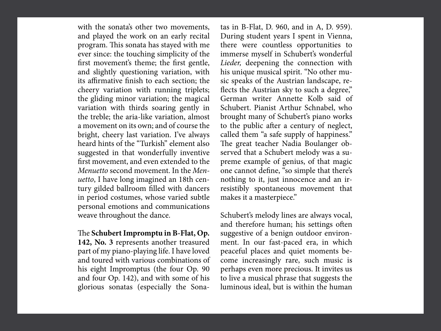with the sonata's other two movements, and played the work on an early recital program. This sonata has stayed with me ever since: the touching simplicity of the first movement's theme; the first gentle, and slightly questioning variation, with its affirmative finish to each section; the cheery variation with running triplets; the gliding minor variation; the magical variation with thirds soaring gently in the treble; the aria-like variation, almost a movement on its own; and of course the bright, cheery last variation. I've always heard hints of the "Turkish" element also suggested in that wonderfully inventive first movement, and even extended to the Menuetto second movement. In the Menuetto, I have long imagined an 18th century gilded ballroom filled with dancers in period costumes, whose varied subtle personal emotions and communications weave throughout the dance.

The **Schubert Impromptu in B-Flat, Op. 142, No. 3** represents another treasured part of my piano-playing life. I have loved and toured with various combinations of his eight Impromptus (the four Op. 90 and four Op. 142), and with some of his glorious sonatas (especially the Sonatas in B-Flat, D. 960, and in A, D. 959). During student years I spent in Vienna, there were countless opportunities to immerse myself in Schubert's wonderful Lieder, deepening the connection with his unique musical spirit. "No other music speaks of the Austrian landscape, reflects the Austrian sky to such a degree," German writer Annette Kolb said of Schubert. Pianist Arthur Schnabel, who brought many of Schubert's piano works to the public after a century of neglect, called them "a safe supply of happiness." The great teacher Nadia Boulanger observed that a Schubert melody was a supreme example of genius, of that magic one cannot define, "so simple that there's nothing to it, just innocence and an irresistibly spontaneous movement that makes it a masterpiece."

Schubert's melody lines are always vocal, and therefore human; his settings often suggestive of a benign outdoor environment. In our fast-paced era, in which peaceful places and quiet moments become increasingly rare, such music is perhaps even more precious. It invites us to live a musical phrase that suggests the luminous ideal, but is within the human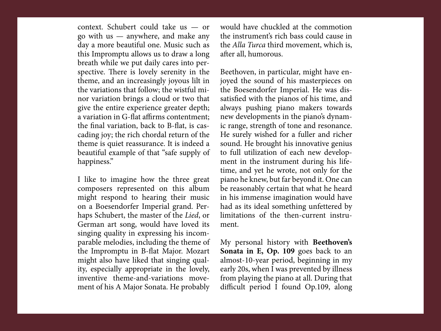context. Schubert could take us — or go with us — anywhere, and make any day a more beautiful one. Music such as this Impromptu allows us to draw a long breath while we put daily cares into perspective. There is lovely serenity in the theme, and an increasingly joyous lilt in the variations that follow; the wistful minor variation brings a cloud or two that give the entire experience greater depth; a variation in G-flat affirms contentment; the final variation, back to B-flat, is cascading joy; the rich chordal return of the theme is quiet reassurance. It is indeed a beautiful example of that "safe supply of happiness."

I like to imagine how the three great composers represented on this album might respond to hearing their music on a Boesendorfer Imperial grand. Perhaps Schubert, the master of the Lied, or German art song, would have loved its singing quality in expressing his incomparable melodies, including the theme of the Impromptu in B-flat Major. Mozart might also have liked that singing quality, especially appropriate in the lovely, inventive theme-and-variations movement of his A Major Sonata. He probably would have chuckled at the commotion the instrument's rich bass could cause in the Alla Turca third movement, which is, after all, humorous.

Beethoven, in particular, might have enjoyed the sound of his masterpieces on the Boesendorfer Imperial. He was dissatisfied with the pianos of his time, and always pushing piano makers towards new developments in the piano's dynamic range, strength of tone and resonance. He surely wished for a fuller and richer sound. He brought his innovative genius to full utilization of each new development in the instrument during his lifetime, and yet he wrote, not only for the piano he knew, but far beyond it. One can be reasonably certain that what he heard in his immense imagination would have had as its ideal something unfettered by limitations of the then-current instrument.

My personal history with **Beethoven's Sonata in E, Op. 109** goes back to an almost-10-year period, beginning in my early 20s, when I was prevented by illness from playing the piano at all. During that difficult period I found Op.109, along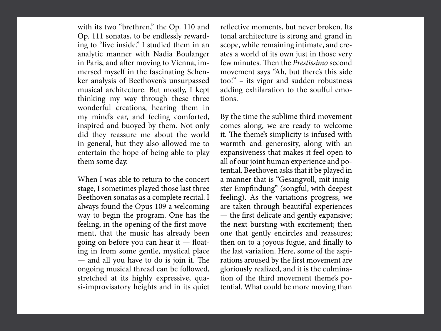with its two "brethren," the Op. 110 and Op. 111 sonatas, to be endlessly rewarding to "live inside." I studied them in an analytic manner with Nadia Boulanger in Paris, and after moving to Vienna, immersed myself in the fascinating Schenker analysis of Beethoven's unsurpassed musical architecture. But mostly, I kept thinking my way through these three wonderful creations, hearing them in my mind's ear, and feeling comforted, inspired and buoyed by them. Not only did they reassure me about the world in general, but they also allowed me to entertain the hope of being able to play them some day.

When I was able to return to the concert stage, I sometimes played those last three Beethoven sonatas as a complete recital. I always found the Opus 109 a welcoming way to begin the program. One has the feeling, in the opening of the first movement, that the music has already been going on before you can hear it — floating in from some gentle, mystical place  $-$  and all you have to do is join it. The ongoing musical thread can be followed, stretched at its highly expressive, quasi-improvisatory heights and in its quiet reflective moments, but never broken. Its tonal architecture is strong and grand in scope, while remaining intimate, and creates a world of its own just in those very few minutes. Then the *Prestissimo* second movement says "Ah, but there's this side too!" – its vigor and sudden robustness adding exhilaration to the soulful emotions.

By the time the sublime third movement comes along, we are ready to welcome it. The theme's simplicity is infused with warmth and generosity, along with an expansiveness that makes it feel open to all of our joint human experience and potential. Beethoven asks that it be played in a manner that is "Gesangvoll, mit innigster Empfindung" (songful, with deepest feeling). As the variations progress, we are taken through beautiful experiences — the first delicate and gently expansive; the next bursting with excitement; then one that gently encircles and reassures; then on to a joyous fugue, and finally to the last variation. Here, some of the aspirations aroused by the first movement are gloriously realized, and it is the culmination of the third movement theme's potential. What could be more moving than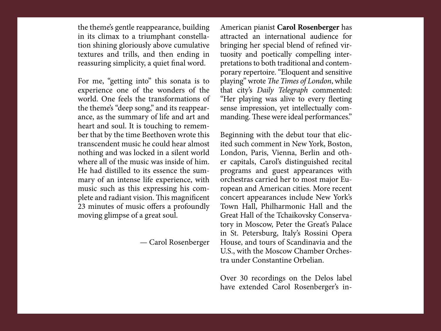the theme's gentle reappearance, building in its climax to a triumphant constellation shining gloriously above cumulative textures and trills, and then ending in reassuring simplicity, a quiet final word.

For me, "getting into" this sonata is to experience one of the wonders of the world. One feels the transformations of the theme's "deep song," and its reappearance, as the summary of life and art and heart and soul. It is touching to remember that by the time Beethoven wrote this transcendent music he could hear almost nothing and was locked in a silent world where all of the music was inside of him. He had distilled to its essence the summary of an intense life experience, with music such as this expressing his complete and radiant vision. This magnificent 23 minutes of music offers a profoundly moving glimpse of a great soul.

— Carol Rosenberger

American pianist **Carol Rosenberger** has attracted an international audience for bringing her special blend of refined virtuosity and poetically compelling interpretations to both traditional and contemporary repertoire. "Eloquent and sensitive playing" wrote The Times of London, while that city's Daily Telegraph commented: "Her playing was alive to every fleeting sense impression, yet intellectually commanding. These were ideal performances."

Beginning with the debut tour that elicited such comment in New York, Boston, London, Paris, Vienna, Berlin and other capitals, Carol's distinguished recital programs and guest appearances with orchestras carried her to most major European and American cities. More recent concert appearances include New York's Town Hall, Philharmonic Hall and the Great Hall of the Tchaikovsky Conservatory in Moscow, Peter the Great's Palace in St. Petersburg, Italy's Rossini Opera House, and tours of Scandinavia and the U.S., with the Moscow Chamber Orchestra under Constantine Orbelian.

Over 30 recordings on the Delos label have extended Carol Rosenberger's in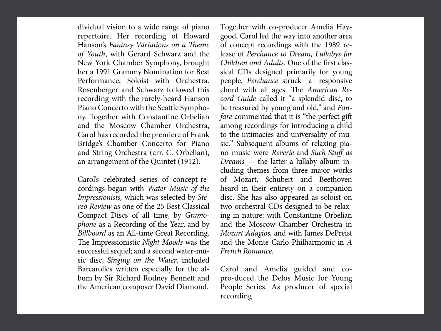dividual vision to a wide range of piano repertoire. Her recording of Howard Hanson's Fantasy Variations on a Theme of Youth, with Gerard Schwarz and the New York Chamber Symphony, brought her a 1991 Grammy Nomination for Best Performance, Soloist with Orchestra. Rosenberger and Schwarz followed this recording with the rarely-heard Hanson Piano Concerto with the Seattle Symphony. Together with Constantine Orbelian and the Moscow Chamber Orchestra, Carol has recorded the premiere of Frank Bridge's Chamber Concerto for Piano and String Orchestra (arr. C. Orbelian), an arrangement of the Quintet (1912).

Carol's celebrated series of concept-recordings began with Water Music of the Impressionists, which was selected by Stereo Review as one of the 25 Best Classical Compact Discs of all time, by Gramophone as a Recording of the Year, and by Billboard as an All-time Great Recording. The Impressionistic Night Moods was the successful sequel; and a second water-music disc, Singing on the Water, included Barcarolles written especially for the album by Sir Richard Rodney Bennett and the American composer David Diamond.

Together with co-producer Amelia Haygood, Carol led the way into another area of concept recordings with the 1989 release of Perchance to Dream, Lullabys for Children and Adults. One of the first classical CDs designed primarily for young people, Perchance struck a responsive chord with all ages. The American Record Guide called it "a splendid disc, to be treasured by young and old," and Fanfare commented that it is "the perfect gift among recordings for introducing a child to the intimacies and universality of music." Subsequent albums of relaxing piano music were Reverie and Such Stuff as Dreams — the latter a lullaby album including themes from three major works of Mozart, Schubert and Beethoven heard in their entirety on a companion disc. She has also appeared as soloist on two orchestral CDs designed to be relaxing in nature: with Constantine Orbelian and the Moscow Chamber Orchestra in Mozart Adagios, and with James DePreist and the Monte Carlo Philharmonic in A French Romance.

Carol and Amelia guided and copro-duced the Delos Music for Young People Series. As producer of special recording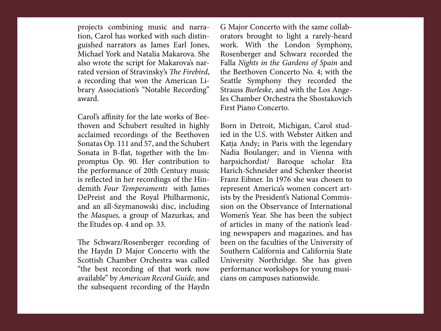projects combining music and narration, Carol has worked with such distinguished narrators as James Earl Jones, Michael York and Natalia Makarova. She also wrote the script for Makarova's narrated version of Stravinsky's The Firebird, a recording that won the American Library Association's "Notable Recording" award.

Carol's affinity for the late works of Beethoven and Schubert resulted in highly acclaimed recordings of the Beethoven Sonatas Op. 111 and 57, and the Schubert Sonata in B-flat, together with the Impromptus Op. 90. Her contribution to the performance of 20th Century music is reflected in her recordings of the Hindemith Four Temperaments with James DePreist and the Royal Philharmonic, and an all-Szymanowski disc, including the Masques, a group of Mazurkas, and the Etudes op. 4 and op. 33.

The Schwarz/Rosenberger recording of the Haydn D Major Concerto with the Scottish Chamber Orchestra was called "the best recording of that work now available" by American Record Guide, and the subsequent recording of the Haydn G Major Concerto with the same collaborators brought to light a rarely-heard work. With the London Symphony, Rosenberger and Schwarz recorded the Falla Nights in the Gardens of Spain and the Beethoven Concerto No. 4; with the Seattle Symphony they recorded the Strauss Burleske, and with the Los Angeles Chamber Orchestra the Shostakovich First Piano Concerto.

Born in Detroit, Michigan, Carol studied in the U.S. with Webster Aitken and Katja Andy; in Paris with the legendary Nadia Boulanger; and in Vienna with harpsichordist/ Baroque scholar Eta Harich-Schneider and Schenker theorist Franz Eibner. In 1976 she was chosen to represent America's women concert artists by the President's National Commission on the Observance of International Women's Year. She has been the subject of articles in many of the nation's leading newspapers and magazines, and has been on the faculties of the University of Southern California and California State University Northridge. She has given performance workshops for young musicians on campuses nationwide.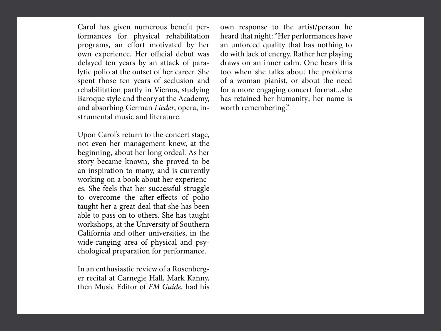Carol has given numerous benefit performances for physical rehabilitation programs, an effort motivated by her own experience. Her official debut was delayed ten years by an attack of paralytic polio at the outset of her career. She spent those ten years of seclusion and rehabilitation partly in Vienna, studying Baroque style and theory at the Academy, and absorbing German Lieder, opera, instrumental music and literature.

Upon Carol's return to the concert stage, not even her management knew, at the beginning, about her long ordeal. As her story became known, she proved to be an inspiration to many, and is currently working on a book about her experiences. She feels that her successful struggle to overcome the after-effects of polio taught her a great deal that she has been able to pass on to others. She has taught workshops, at the University of Southern California and other universities, in the wide-ranging area of physical and psychological preparation for performance.

In an enthusiastic review of a Rosenberger recital at Carnegie Hall, Mark Kanny, then Music Editor of FM Guide, had his own response to the artist/person he heard that night: "Her performances have an unforced quality that has nothing to do with lack of energy. Rather her playing draws on an inner calm. One hears this too when she talks about the problems of a woman pianist, or about the need for a more engaging concert format...she has retained her humanity; her name is worth remembering."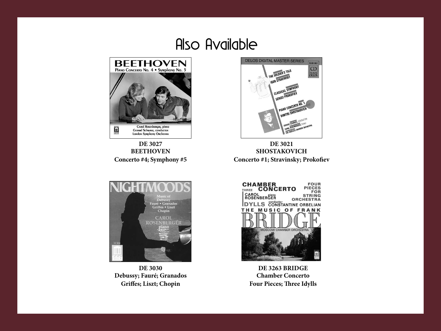## Also Available



**DE 3027 BEETHOVEN Concerto #4; Symphony #5**



**DE 3021 SHOSTAKOVICH Concerto #1; Stravinsky; Prokofiev**



**DE 3030 Debussy; Fauré; Granados Griffes; Liszt; Chopin**



**DE 3263 BRIDGE Chamber Concerto Four Pieces; Three Idylls**